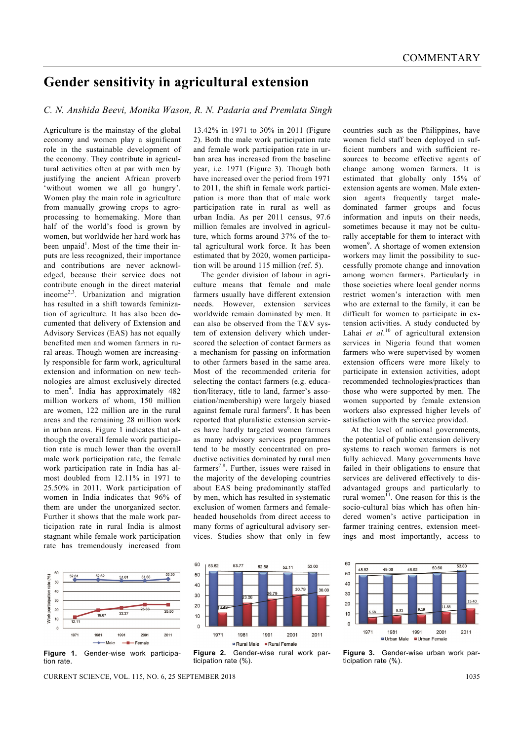## **Gender sensitivity in agricultural extension**

## *C. N. Anshida Beevi, Monika Wason, R. N. Padaria and Premlata Singh*

Agriculture is the mainstay of the global economy and women play a significant role in the sustainable development of the economy. They contribute in agricultural activities often at par with men by justifying the ancient African proverb 'without women we all go hungry'. Women play the main role in agriculture from manually growing crops to agroprocessing to homemaking. More than half of the world's food is grown by women, but worldwide her hard work has been unpaid<sup>1</sup>. Most of the time their inputs are less recognized, their importance and contributions are never acknowledged, because their service does not contribute enough in the direct material income2,3. Urbanization and migration has resulted in a shift towards feminization of agriculture. It has also been documented that delivery of Extension and Advisory Services (EAS) has not equally benefited men and women farmers in rural areas. Though women are increasingly responsible for farm work, agricultural extension and information on new technologies are almost exclusively directed to men<sup>4</sup>. India has approximately 482 million workers of whom, 150 million are women, 122 million are in the rural areas and the remaining 28 million work in urban areas. Figure 1 indicates that although the overall female work participation rate is much lower than the overall male work participation rate, the female work participation rate in India has almost doubled from 12.11% in 1971 to 25.50% in 2011. Work participation of women in India indicates that 96% of them are under the unorganized sector. Further it shows that the male work participation rate in rural India is almost stagnant while female work participation rate has tremendously increased from

13.42% in 1971 to 30% in 2011 (Figure 2). Both the male work participation rate and female work participation rate in urban area has increased from the baseline year, i.e. 1971 (Figure 3). Though both have increased over the period from 1971 to 2011, the shift in female work participation is more than that of male work participation rate in rural as well as urban India. As per 2011 census, 97.6 million females are involved in agriculture, which forms around 37% of the total agricultural work force. It has been estimated that by 2020, women participation will be around 115 million (ref. 5).

 The gender division of labour in agriculture means that female and male farmers usually have different extension needs. However, extension services worldwide remain dominated by men. It can also be observed from the T&V system of extension delivery which underscored the selection of contact farmers as a mechanism for passing on information to other farmers based in the same area. Most of the recommended criteria for selecting the contact farmers (e.g. education/literacy, title to land, farmer's association/membership) were largely biased against female rural farmers<sup>6</sup>. It has been reported that pluralistic extension services have hardly targeted women farmers as many advisory services programmes tend to be mostly concentrated on productive activities dominated by rural men farmers<sup>7,8</sup>. Further, issues were raised in the majority of the developing countries about EAS being predominantly staffed by men, which has resulted in systematic exclusion of women farmers and femaleheaded households from direct access to many forms of agricultural advisory services. Studies show that only in few

countries such as the Philippines, have women field staff been deployed in sufficient numbers and with sufficient resources to become effective agents of change among women farmers. It is estimated that globally only 15% of extension agents are women. Male extension agents frequently target maledominated farmer groups and focus information and inputs on their needs, sometimes because it may not be culturally acceptable for them to interact with women<sup>9</sup>. A shortage of women extension workers may limit the possibility to successfully promote change and innovation among women farmers. Particularly in those societies where local gender norms restrict women's interaction with men who are external to the family, it can be difficult for women to participate in extension activities. A study conducted by Lahai et al.<sup>10</sup> of agricultural extension services in Nigeria found that women farmers who were supervised by women extension officers were more likely to participate in extension activities, adopt recommended technologies/practices than those who were supported by men. The women supported by female extension workers also expressed higher levels of satisfaction with the service provided.

 At the level of national governments, the potential of public extension delivery systems to reach women farmers is not fully achieved. Many governments have failed in their obligations to ensure that services are delivered effectively to disadvantaged groups and particularly to rural women<sup> $11$ </sup>. One reason for this is the socio-cultural bias which has often hindered women's active participation in farmer training centres, extension meetings and most importantly, access to



CURRENT SCIENCE, VOL. 115, NO. 6, 25 SEPTEMBER 2018 1035



60  $53R$  $50.60$  $48.82$ 49.06 48.92 50  $40$  $30$ 15.40  $20$ 8.31  $10$  $\overline{a}$ 1971 1981 1991 2001 2011 ■ Urban Male Urban Female